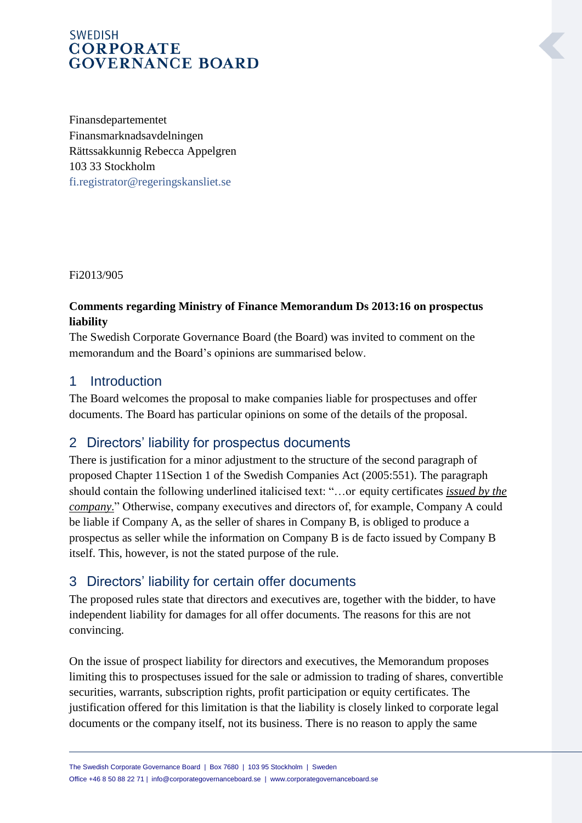Finansdepartementet Finansmarknadsavdelningen Rättssakkunnig Rebecca Appelgren 103 33 Stockholm [fi.registrator@regeringskansliet.se](mailto:fi.registrator@regeringskansliet.se)

Fi2013/905

#### **Comments regarding Ministry of Finance Memorandum Ds 2013:16 on prospectus liability**

The Swedish Corporate Governance Board (the Board) was invited to comment on the memorandum and the Board's opinions are summarised below.

## 1 Introduction

The Board welcomes the proposal to make companies liable for prospectuses and offer documents. The Board has particular opinions on some of the details of the proposal.

## 2 Directors' liability for prospectus documents

There is justification for a minor adjustment to the structure of the second paragraph of proposed Chapter 11Section 1 of the Swedish Companies Act (2005:551). The paragraph should contain the following underlined italicised text: "…or equity certificates *issued by the company*." Otherwise, company executives and directors of, for example, Company A could be liable if Company A, as the seller of shares in Company B, is obliged to produce a prospectus as seller while the information on Company B is de facto issued by Company B itself. This, however, is not the stated purpose of the rule.

## 3 Directors' liability for certain offer documents

The proposed rules state that directors and executives are, together with the bidder, to have independent liability for damages for all offer documents. The reasons for this are not convincing.

On the issue of prospect liability for directors and executives, the Memorandum proposes limiting this to prospectuses issued for the sale or admission to trading of shares, convertible securities, warrants, subscription rights, profit participation or equity certificates. The justification offered for this limitation is that the liability is closely linked to corporate legal documents or the company itself, not its business. There is no reason to apply the same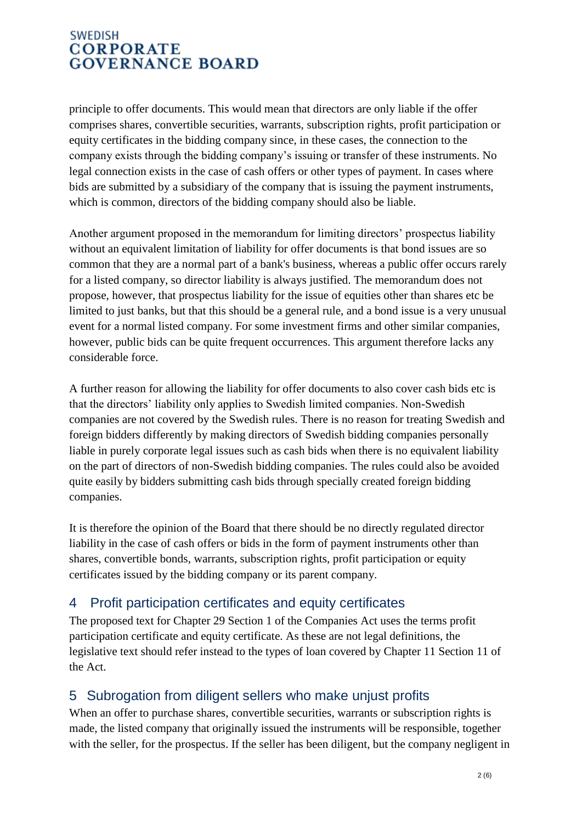principle to offer documents. This would mean that directors are only liable if the offer comprises shares, convertible securities, warrants, subscription rights, profit participation or equity certificates in the bidding company since, in these cases, the connection to the company exists through the bidding company's issuing or transfer of these instruments. No legal connection exists in the case of cash offers or other types of payment. In cases where bids are submitted by a subsidiary of the company that is issuing the payment instruments, which is common, directors of the bidding company should also be liable.

Another argument proposed in the memorandum for limiting directors' prospectus liability without an equivalent limitation of liability for offer documents is that bond issues are so common that they are a normal part of a bank's business, whereas a public offer occurs rarely for a listed company, so director liability is always justified. The memorandum does not propose, however, that prospectus liability for the issue of equities other than shares etc be limited to just banks, but that this should be a general rule, and a bond issue is a very unusual event for a normal listed company. For some investment firms and other similar companies, however, public bids can be quite frequent occurrences. This argument therefore lacks any considerable force.

A further reason for allowing the liability for offer documents to also cover cash bids etc is that the directors' liability only applies to Swedish limited companies. Non-Swedish companies are not covered by the Swedish rules. There is no reason for treating Swedish and foreign bidders differently by making directors of Swedish bidding companies personally liable in purely corporate legal issues such as cash bids when there is no equivalent liability on the part of directors of non-Swedish bidding companies. The rules could also be avoided quite easily by bidders submitting cash bids through specially created foreign bidding companies.

It is therefore the opinion of the Board that there should be no directly regulated director liability in the case of cash offers or bids in the form of payment instruments other than shares, convertible bonds, warrants, subscription rights, profit participation or equity certificates issued by the bidding company or its parent company.

## 4 Profit participation certificates and equity certificates

The proposed text for Chapter 29 Section 1 of the Companies Act uses the terms profit participation certificate and equity certificate. As these are not legal definitions, the legislative text should refer instead to the types of loan covered by Chapter 11 Section 11 of the Act.

## 5 Subrogation from diligent sellers who make unjust profits

When an offer to purchase shares, convertible securities, warrants or subscription rights is made, the listed company that originally issued the instruments will be responsible, together with the seller, for the prospectus. If the seller has been diligent, but the company negligent in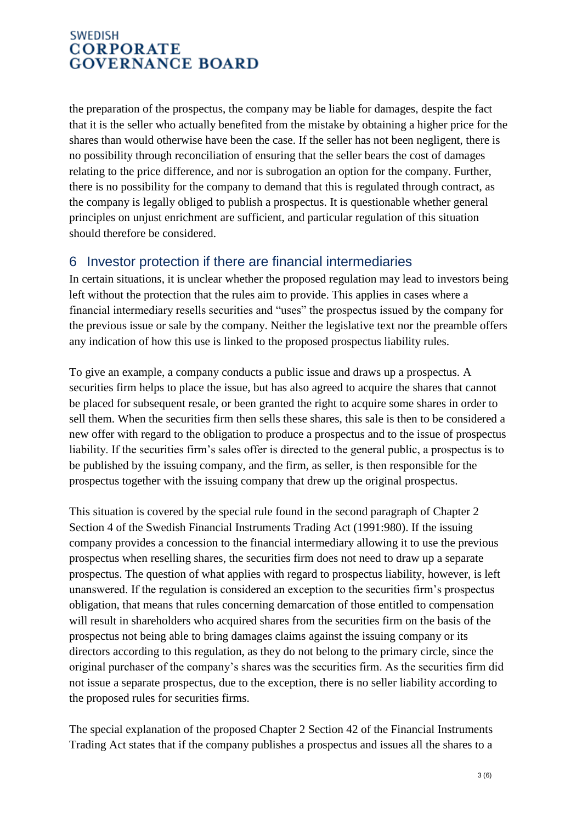the preparation of the prospectus, the company may be liable for damages, despite the fact that it is the seller who actually benefited from the mistake by obtaining a higher price for the shares than would otherwise have been the case. If the seller has not been negligent, there is no possibility through reconciliation of ensuring that the seller bears the cost of damages relating to the price difference, and nor is subrogation an option for the company. Further, there is no possibility for the company to demand that this is regulated through contract, as the company is legally obliged to publish a prospectus. It is questionable whether general principles on unjust enrichment are sufficient, and particular regulation of this situation should therefore be considered.

## 6 Investor protection if there are financial intermediaries

In certain situations, it is unclear whether the proposed regulation may lead to investors being left without the protection that the rules aim to provide. This applies in cases where a financial intermediary resells securities and "uses" the prospectus issued by the company for the previous issue or sale by the company. Neither the legislative text nor the preamble offers any indication of how this use is linked to the proposed prospectus liability rules.

To give an example, a company conducts a public issue and draws up a prospectus. A securities firm helps to place the issue, but has also agreed to acquire the shares that cannot be placed for subsequent resale, or been granted the right to acquire some shares in order to sell them. When the securities firm then sells these shares, this sale is then to be considered a new offer with regard to the obligation to produce a prospectus and to the issue of prospectus liability. If the securities firm's sales offer is directed to the general public, a prospectus is to be published by the issuing company, and the firm, as seller, is then responsible for the prospectus together with the issuing company that drew up the original prospectus.

This situation is covered by the special rule found in the second paragraph of Chapter 2 Section 4 of the Swedish Financial Instruments Trading Act (1991:980). If the issuing company provides a concession to the financial intermediary allowing it to use the previous prospectus when reselling shares, the securities firm does not need to draw up a separate prospectus. The question of what applies with regard to prospectus liability, however, is left unanswered. If the regulation is considered an exception to the securities firm's prospectus obligation, that means that rules concerning demarcation of those entitled to compensation will result in shareholders who acquired shares from the securities firm on the basis of the prospectus not being able to bring damages claims against the issuing company or its directors according to this regulation, as they do not belong to the primary circle, since the original purchaser of the company's shares was the securities firm. As the securities firm did not issue a separate prospectus, due to the exception, there is no seller liability according to the proposed rules for securities firms.

The special explanation of the proposed Chapter 2 Section 42 of the Financial Instruments Trading Act states that if the company publishes a prospectus and issues all the shares to a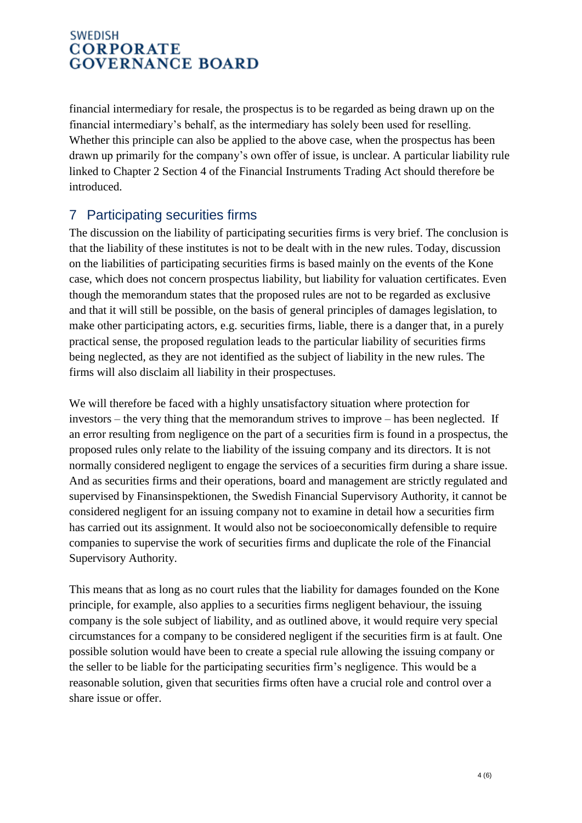financial intermediary for resale, the prospectus is to be regarded as being drawn up on the financial intermediary's behalf, as the intermediary has solely been used for reselling. Whether this principle can also be applied to the above case, when the prospectus has been drawn up primarily for the company's own offer of issue, is unclear. A particular liability rule linked to Chapter 2 Section 4 of the Financial Instruments Trading Act should therefore be introduced.

## 7 Participating securities firms

The discussion on the liability of participating securities firms is very brief. The conclusion is that the liability of these institutes is not to be dealt with in the new rules. Today, discussion on the liabilities of participating securities firms is based mainly on the events of the Kone case, which does not concern prospectus liability, but liability for valuation certificates. Even though the memorandum states that the proposed rules are not to be regarded as exclusive and that it will still be possible, on the basis of general principles of damages legislation, to make other participating actors, e.g. securities firms, liable, there is a danger that, in a purely practical sense, the proposed regulation leads to the particular liability of securities firms being neglected, as they are not identified as the subject of liability in the new rules. The firms will also disclaim all liability in their prospectuses.

We will therefore be faced with a highly unsatisfactory situation where protection for investors – the very thing that the memorandum strives to improve – has been neglected. If an error resulting from negligence on the part of a securities firm is found in a prospectus, the proposed rules only relate to the liability of the issuing company and its directors. It is not normally considered negligent to engage the services of a securities firm during a share issue. And as securities firms and their operations, board and management are strictly regulated and supervised by Finansinspektionen, the Swedish Financial Supervisory Authority, it cannot be considered negligent for an issuing company not to examine in detail how a securities firm has carried out its assignment. It would also not be socioeconomically defensible to require companies to supervise the work of securities firms and duplicate the role of the Financial Supervisory Authority.

This means that as long as no court rules that the liability for damages founded on the Kone principle, for example, also applies to a securities firms negligent behaviour, the issuing company is the sole subject of liability, and as outlined above, it would require very special circumstances for a company to be considered negligent if the securities firm is at fault. One possible solution would have been to create a special rule allowing the issuing company or the seller to be liable for the participating securities firm's negligence. This would be a reasonable solution, given that securities firms often have a crucial role and control over a share issue or offer.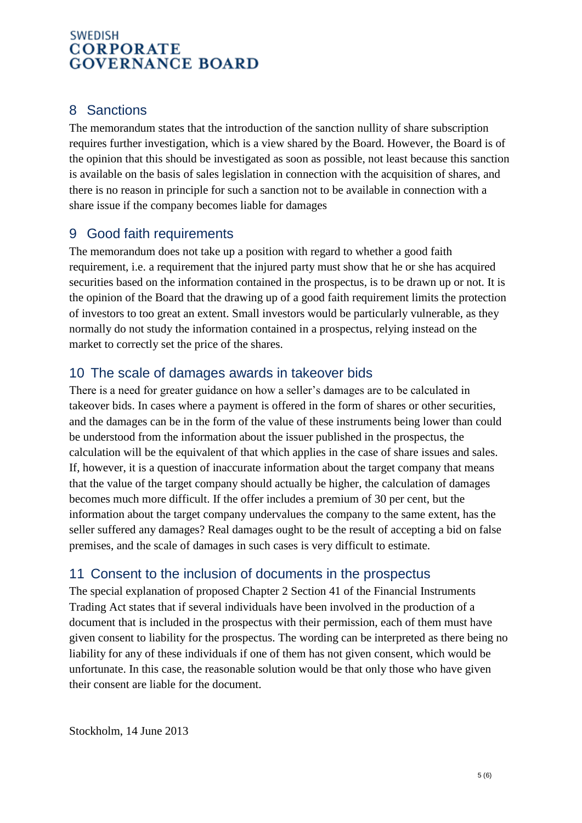## 8 Sanctions

The memorandum states that the introduction of the sanction nullity of share subscription requires further investigation, which is a view shared by the Board. However, the Board is of the opinion that this should be investigated as soon as possible, not least because this sanction is available on the basis of sales legislation in connection with the acquisition of shares, and there is no reason in principle for such a sanction not to be available in connection with a share issue if the company becomes liable for damages

## 9 Good faith requirements

The memorandum does not take up a position with regard to whether a good faith requirement, i.e. a requirement that the injured party must show that he or she has acquired securities based on the information contained in the prospectus, is to be drawn up or not. It is the opinion of the Board that the drawing up of a good faith requirement limits the protection of investors to too great an extent. Small investors would be particularly vulnerable, as they normally do not study the information contained in a prospectus, relying instead on the market to correctly set the price of the shares.

## 10 The scale of damages awards in takeover bids

There is a need for greater guidance on how a seller's damages are to be calculated in takeover bids. In cases where a payment is offered in the form of shares or other securities, and the damages can be in the form of the value of these instruments being lower than could be understood from the information about the issuer published in the prospectus, the calculation will be the equivalent of that which applies in the case of share issues and sales. If, however, it is a question of inaccurate information about the target company that means that the value of the target company should actually be higher, the calculation of damages becomes much more difficult. If the offer includes a premium of 30 per cent, but the information about the target company undervalues the company to the same extent, has the seller suffered any damages? Real damages ought to be the result of accepting a bid on false premises, and the scale of damages in such cases is very difficult to estimate.

### 11 Consent to the inclusion of documents in the prospectus

The special explanation of proposed Chapter 2 Section 41 of the Financial Instruments Trading Act states that if several individuals have been involved in the production of a document that is included in the prospectus with their permission, each of them must have given consent to liability for the prospectus. The wording can be interpreted as there being no liability for any of these individuals if one of them has not given consent, which would be unfortunate. In this case, the reasonable solution would be that only those who have given their consent are liable for the document.

Stockholm, 14 June 2013